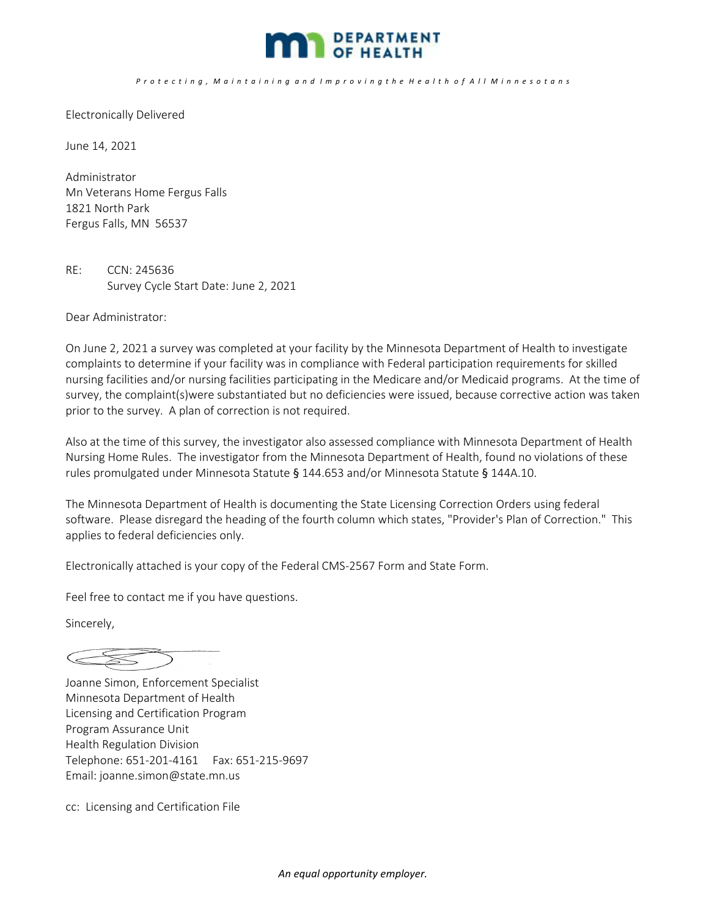

## Protecting, Maintaining and Improving the Health of All Minnesotans

Electronically Delivered

June 14, 2021

Administrator Mn Veterans Home Fergus Falls 1821 North Park Fergus Falls, MN 56537

RE: CCN: 245636 Survey Cycle Start Date: June 2, 2021

Dear Administrator:

On June 2, 2021 a survey was completed at your facility by the Minnesota Department of Health to investigate complaints to determine if your facility was in compliance with Federal participation requirements for skilled nursing facilities and/or nursing facilities participating in the Medicare and/or Medicaid programs. At the time of survey, the complaint(s)were substantiated but no deficiencies were issued, because corrective action was taken prior to the survey. A plan of correction is not required.

Also at the time of this survey, the investigator also assessed compliance with Minnesota Department of Health Nursing Home Rules. The investigator from the Minnesota Department of Health, found no violations of these rules promulgated under Minnesota Statute § 144.653 and/or Minnesota Statute § 144A.10.

The Minnesota Department of Health is documenting the State Licensing Correction Orders using federal software. Please disregard the heading of the fourth column which states, "Provider's Plan of Correction." This applies to federal deficiencies only.

Electronically attached is your copy of the Federal CMS‐2567 Form and State Form.

Feel free to contact me if you have questions.

Sincerely,

 $\begin{picture}(220,20) \put(0,0){\dashbox{0.5}(5,0){ }} \put(15,0){\circle{10}} \put(15,0){\circle{10}} \put(15,0){\circle{10}} \put(15,0){\circle{10}} \put(15,0){\circle{10}} \put(15,0){\circle{10}} \put(15,0){\circle{10}} \put(15,0){\circle{10}} \put(15,0){\circle{10}} \put(15,0){\circle{10}} \put(15,0){\circle{10}} \put(15,0){\circle{10}} \put(15,0){\circle{10}} \put(15,$ 

Joanne Simon, Enforcement Specialist Minnesota Department of Health Licensing and Certification Program Program Assurance Unit Health Regulation Division Telephone: 651‐201‐4161 Fax: 651‐215‐9697 Email: joanne.simon@state.mn.us

cc: Licensing and Certification File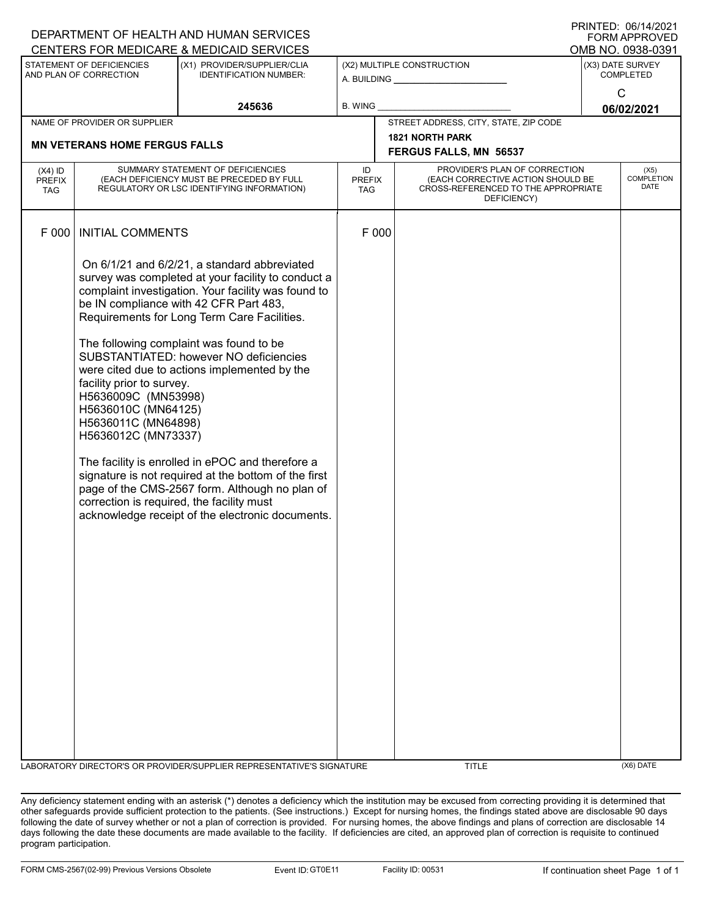| FUNIMAFFNUVED<br>CENTERS FOR MEDICARE & MEDICAID SERVICES<br>OMB NO. 0938-0391 |                                                                                                                                                                                                                                                                                                                                                                                                                                                                                                                                                                                                                                                                                                                                                                                 |                                                                                                                              |                                                                        |       |                                                                                                                          |  |                                      |  |
|--------------------------------------------------------------------------------|---------------------------------------------------------------------------------------------------------------------------------------------------------------------------------------------------------------------------------------------------------------------------------------------------------------------------------------------------------------------------------------------------------------------------------------------------------------------------------------------------------------------------------------------------------------------------------------------------------------------------------------------------------------------------------------------------------------------------------------------------------------------------------|------------------------------------------------------------------------------------------------------------------------------|------------------------------------------------------------------------|-------|--------------------------------------------------------------------------------------------------------------------------|--|--------------------------------------|--|
| STATEMENT OF DEFICIENCIES<br>AND PLAN OF CORRECTION                            |                                                                                                                                                                                                                                                                                                                                                                                                                                                                                                                                                                                                                                                                                                                                                                                 | (X1) PROVIDER/SUPPLIER/CLIA<br><b>IDENTIFICATION NUMBER:</b>                                                                 | (X2) MULTIPLE CONSTRUCTION<br>A. BUILDING <u>_____________________</u> |       |                                                                                                                          |  | (X3) DATE SURVEY<br><b>COMPLETED</b> |  |
| 245636                                                                         |                                                                                                                                                                                                                                                                                                                                                                                                                                                                                                                                                                                                                                                                                                                                                                                 | <b>B. WING</b>                                                                                                               |                                                                        |       | $\mathsf{C}$<br>06/02/2021                                                                                               |  |                                      |  |
|                                                                                | NAME OF PROVIDER OR SUPPLIER                                                                                                                                                                                                                                                                                                                                                                                                                                                                                                                                                                                                                                                                                                                                                    |                                                                                                                              |                                                                        |       | STREET ADDRESS, CITY, STATE, ZIP CODE                                                                                    |  |                                      |  |
|                                                                                |                                                                                                                                                                                                                                                                                                                                                                                                                                                                                                                                                                                                                                                                                                                                                                                 |                                                                                                                              |                                                                        |       | <b>1821 NORTH PARK</b>                                                                                                   |  |                                      |  |
|                                                                                | <b>MN VETERANS HOME FERGUS FALLS</b>                                                                                                                                                                                                                                                                                                                                                                                                                                                                                                                                                                                                                                                                                                                                            |                                                                                                                              | FERGUS FALLS, MN 56537                                                 |       |                                                                                                                          |  |                                      |  |
| $(X4)$ ID<br>PREFIX<br>TAG                                                     |                                                                                                                                                                                                                                                                                                                                                                                                                                                                                                                                                                                                                                                                                                                                                                                 | SUMMARY STATEMENT OF DEFICIENCIES<br>(EACH DEFICIENCY MUST BE PRECEDED BY FULL<br>REGULATORY OR LSC IDENTIFYING INFORMATION) | ID<br><b>PREFIX</b><br>TAG                                             |       | PROVIDER'S PLAN OF CORRECTION<br>(EACH CORRECTIVE ACTION SHOULD BE<br>CROSS-REFERENCED TO THE APPROPRIATE<br>DEFICIENCY) |  | (X5)<br>COMPLETION<br>DATE           |  |
| F 000                                                                          | <b>INITIAL COMMENTS</b>                                                                                                                                                                                                                                                                                                                                                                                                                                                                                                                                                                                                                                                                                                                                                         |                                                                                                                              |                                                                        | F 000 |                                                                                                                          |  |                                      |  |
|                                                                                | On 6/1/21 and 6/2/21, a standard abbreviated<br>survey was completed at your facility to conduct a<br>complaint investigation. Your facility was found to<br>be IN compliance with 42 CFR Part 483,<br>Requirements for Long Term Care Facilities.<br>The following complaint was found to be<br>SUBSTANTIATED: however NO deficiencies<br>were cited due to actions implemented by the<br>facility prior to survey.<br>H5636009C (MN53998)<br>H5636010C (MN64125)<br>H5636011C (MN64898)<br>H5636012C (MN73337)<br>The facility is enrolled in ePOC and therefore a<br>signature is not required at the bottom of the first<br>page of the CMS-2567 form. Although no plan of<br>correction is required, the facility must<br>acknowledge receipt of the electronic documents. |                                                                                                                              |                                                                        |       |                                                                                                                          |  |                                      |  |
|                                                                                |                                                                                                                                                                                                                                                                                                                                                                                                                                                                                                                                                                                                                                                                                                                                                                                 | LABORATORY DIRECTOR'S OR PROVIDER/SUPPLIER REPRESENTATIVE'S SIGNATURE                                                        |                                                                        |       | <b>TITLE</b>                                                                                                             |  | $(X6)$ DATE                          |  |

Any deficiency statement ending with an asterisk (\*) denotes a deficiency which the institution may be excused from correcting providing it is determined that other safeguards provide sufficient protection to the patients. (See instructions.) Except for nursing homes, the findings stated above are disclosable 90 days following the date of survey whether or not a plan of correction is provided. For nursing homes, the above findings and plans of correction are disclosable 14 days following the date these documents are made available to the facility. If deficiencies are cited, an approved plan of correction is requisite to continued program participation.

DEPARTMENT OF HEALTH AND HUMAN SERVICES

PRINTED: 06/14/2021 FORM APPROVED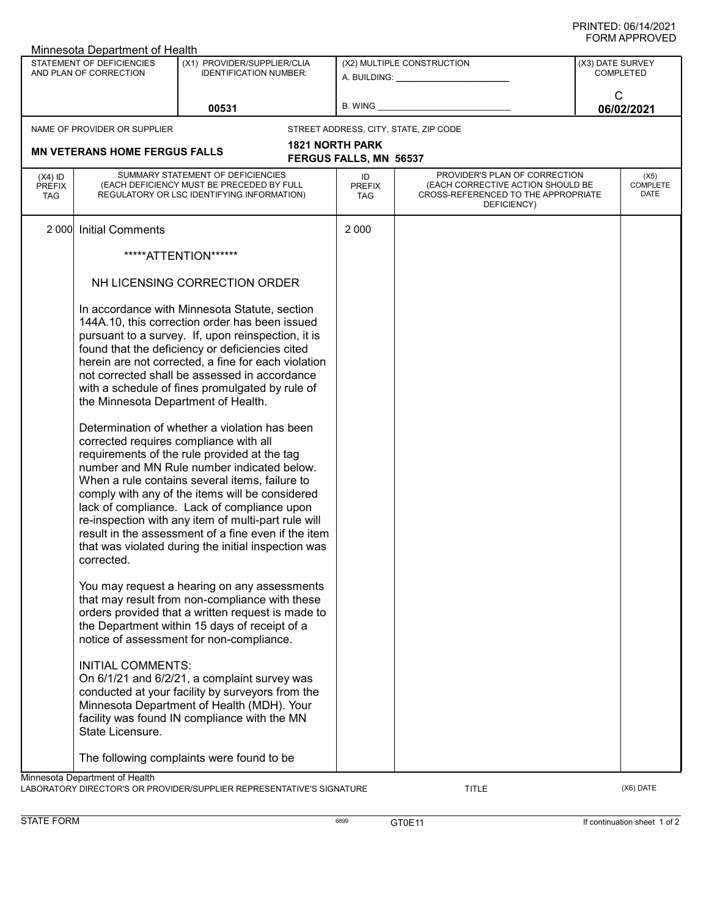| Minnesota Department of Health                      |                                                                                                                              |                                                                                                                                                                                                                                                                                                                                                                                                                                                                                                                                                                                                                                                                                                                                                                                                                                             |                                                         |                                                                                                                          |                                      |                                 |  |
|-----------------------------------------------------|------------------------------------------------------------------------------------------------------------------------------|---------------------------------------------------------------------------------------------------------------------------------------------------------------------------------------------------------------------------------------------------------------------------------------------------------------------------------------------------------------------------------------------------------------------------------------------------------------------------------------------------------------------------------------------------------------------------------------------------------------------------------------------------------------------------------------------------------------------------------------------------------------------------------------------------------------------------------------------|---------------------------------------------------------|--------------------------------------------------------------------------------------------------------------------------|--------------------------------------|---------------------------------|--|
| STATEMENT OF DEFICIENCIES<br>AND PLAN OF CORRECTION |                                                                                                                              | (X1) PROVIDER/SUPPLIER/CLIA<br><b>IDENTIFICATION NUMBER:</b>                                                                                                                                                                                                                                                                                                                                                                                                                                                                                                                                                                                                                                                                                                                                                                                |                                                         | (X2) MULTIPLE CONSTRUCTION<br>A. BUILDING: A. BUILDING:                                                                  | (X3) DATE SURVEY<br><b>COMPLETED</b> |                                 |  |
| 00531                                               |                                                                                                                              | B. WING                                                                                                                                                                                                                                                                                                                                                                                                                                                                                                                                                                                                                                                                                                                                                                                                                                     |                                                         | C<br>06/02/2021                                                                                                          |                                      |                                 |  |
|                                                     | NAME OF PROVIDER OR SUPPLIER                                                                                                 |                                                                                                                                                                                                                                                                                                                                                                                                                                                                                                                                                                                                                                                                                                                                                                                                                                             |                                                         | STREET ADDRESS, CITY, STATE, ZIP CODE                                                                                    |                                      |                                 |  |
|                                                     | <b>MN VETERANS HOME FERGUS FALLS</b>                                                                                         |                                                                                                                                                                                                                                                                                                                                                                                                                                                                                                                                                                                                                                                                                                                                                                                                                                             | <b>1821 NORTH PARK</b><br><b>FERGUS FALLS, MN 56537</b> |                                                                                                                          |                                      |                                 |  |
| $(X4)$ ID<br><b>PREFIX</b><br><b>TAG</b>            | SUMMARY STATEMENT OF DEFICIENCIES<br>(EACH DEFICIENCY MUST BE PRECEDED BY FULL<br>REGULATORY OR LSC IDENTIFYING INFORMATION) |                                                                                                                                                                                                                                                                                                                                                                                                                                                                                                                                                                                                                                                                                                                                                                                                                                             | ID<br><b>PREFIX</b><br><b>TAG</b>                       | PROVIDER'S PLAN OF CORRECTION<br>(EACH CORRECTIVE ACTION SHOULD BE<br>CROSS-REFERENCED TO THE APPROPRIATE<br>DEFICIENCY) |                                      | (X5)<br><b>COMPLETE</b><br>DATE |  |
| 2 0 0 0                                             | <b>Initial Comments</b>                                                                                                      |                                                                                                                                                                                                                                                                                                                                                                                                                                                                                                                                                                                                                                                                                                                                                                                                                                             | 2 0 0 0                                                 |                                                                                                                          |                                      |                                 |  |
|                                                     |                                                                                                                              | *****ATTENTION******                                                                                                                                                                                                                                                                                                                                                                                                                                                                                                                                                                                                                                                                                                                                                                                                                        |                                                         |                                                                                                                          |                                      |                                 |  |
|                                                     | NH LICENSING CORRECTION ORDER                                                                                                |                                                                                                                                                                                                                                                                                                                                                                                                                                                                                                                                                                                                                                                                                                                                                                                                                                             |                                                         |                                                                                                                          |                                      |                                 |  |
|                                                     | the Minnesota Department of Health.<br>corrected requires compliance with all<br>corrected.                                  | In accordance with Minnesota Statute, section<br>144A.10, this correction order has been issued<br>pursuant to a survey. If, upon reinspection, it is<br>found that the deficiency or deficiencies cited<br>herein are not corrected, a fine for each violation<br>not corrected shall be assessed in accordance<br>with a schedule of fines promulgated by rule of<br>Determination of whether a violation has been<br>requirements of the rule provided at the tag<br>number and MN Rule number indicated below.<br>When a rule contains several items, failure to<br>comply with any of the items will be considered<br>lack of compliance. Lack of compliance upon<br>re-inspection with any item of multi-part rule will<br>result in the assessment of a fine even if the item<br>that was violated during the initial inspection was |                                                         |                                                                                                                          |                                      |                                 |  |
|                                                     |                                                                                                                              | You may request a hearing on any assessments<br>that may result from non-compliance with these<br>orders provided that a written request is made to<br>the Department within 15 days of receipt of a<br>notice of assessment for non-compliance.                                                                                                                                                                                                                                                                                                                                                                                                                                                                                                                                                                                            |                                                         |                                                                                                                          |                                      |                                 |  |
|                                                     | <b>INITIAL COMMENTS:</b><br>State Licensure.                                                                                 | On 6/1/21 and 6/2/21, a complaint survey was<br>conducted at your facility by surveyors from the<br>Minnesota Department of Health (MDH). Your<br>facility was found IN compliance with the MN                                                                                                                                                                                                                                                                                                                                                                                                                                                                                                                                                                                                                                              |                                                         |                                                                                                                          |                                      |                                 |  |
|                                                     |                                                                                                                              | The following complaints were found to be                                                                                                                                                                                                                                                                                                                                                                                                                                                                                                                                                                                                                                                                                                                                                                                                   |                                                         |                                                                                                                          |                                      |                                 |  |
|                                                     | Minnesota Department of Health                                                                                               |                                                                                                                                                                                                                                                                                                                                                                                                                                                                                                                                                                                                                                                                                                                                                                                                                                             |                                                         |                                                                                                                          |                                      |                                 |  |

LABORATORY DIRECTOR'S OR PROVIDER/SUPPLIER REPRESENTATIVE'S SIGNATURE TITLE TITLE THE CONSERVATION OF THE CONST